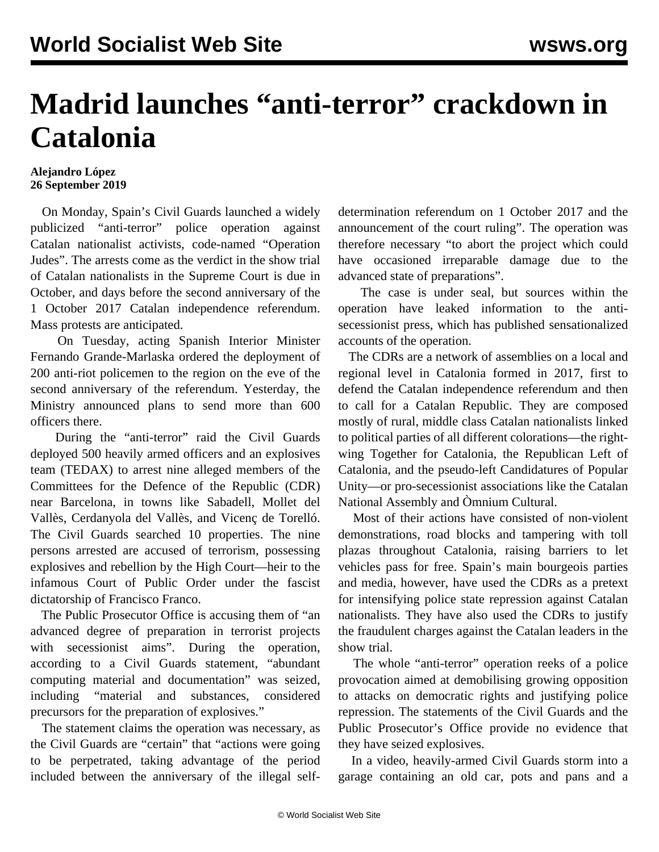## **Madrid launches "anti-terror" crackdown in Catalonia**

## **Alejandro López 26 September 2019**

 On Monday, Spain's Civil Guards launched a widely publicized "anti-terror" police operation against Catalan nationalist activists, code-named "Operation Judes". The arrests come as the verdict in the show trial of Catalan nationalists in the Supreme Court is due in October, and days before the second anniversary of the 1 October 2017 Catalan independence referendum. Mass protests are anticipated.

 On Tuesday, acting Spanish Interior Minister Fernando Grande-Marlaska ordered the deployment of 200 anti-riot policemen to the region on the eve of the second anniversary of the referendum. Yesterday, the Ministry announced plans to send more than 600 officers there.

 During the "anti-terror" raid the Civil Guards deployed 500 heavily armed officers and an explosives team (TEDAX) to arrest nine alleged members of the Committees for the Defence of the Republic (CDR) near Barcelona, in towns like Sabadell, Mollet del Vallès, Cerdanyola del Vallès, and Vicenç de Torelló. The Civil Guards searched 10 properties. The nine persons arrested are accused of terrorism, possessing explosives and rebellion by the High Court—heir to the infamous Court of Public Order under the fascist dictatorship of Francisco Franco.

 The Public Prosecutor Office is accusing them of "an advanced degree of preparation in terrorist projects with secessionist aims". During the operation, according to a Civil Guards statement, "abundant computing material and documentation" was seized, including "material and substances, considered precursors for the preparation of explosives."

 The statement claims the operation was necessary, as the Civil Guards are "certain" that "actions were going to be perpetrated, taking advantage of the period included between the anniversary of the illegal selfdetermination referendum on 1 October 2017 and the announcement of the court ruling". The operation was therefore necessary "to abort the project which could have occasioned irreparable damage due to the advanced state of preparations".

 The case is under seal, but sources within the operation have leaked information to the antisecessionist press, which has published sensationalized accounts of the operation.

 The CDRs are a network of assemblies on a local and regional level in Catalonia formed in 2017, first to defend the Catalan independence referendum and then to call for a Catalan Republic. They are composed mostly of rural, middle class Catalan nationalists linked to political parties of all different colorations—the rightwing Together for Catalonia, the Republican Left of Catalonia, and the pseudo-left Candidatures of Popular Unity—or pro-secessionist associations like the Catalan National Assembly and Òmnium Cultural.

 Most of their actions have consisted of non-violent demonstrations, road blocks and tampering with toll plazas throughout Catalonia, raising barriers to let vehicles pass for free. Spain's main bourgeois parties and media, however, have used the CDRs as a pretext for intensifying police state repression against Catalan nationalists. They have also used the CDRs to justify the fraudulent charges against the Catalan leaders in the show trial.

 The whole "anti-terror" operation reeks of a police provocation aimed at demobilising growing opposition to attacks on democratic rights and justifying police repression. The statements of the Civil Guards and the Public Prosecutor's Office provide no evidence that they have seized explosives.

 In a [video,](https://twitter.com/guardiacivil/status/1176048333443481601) heavily-armed Civil Guards storm into a garage containing an old car, pots and pans and a